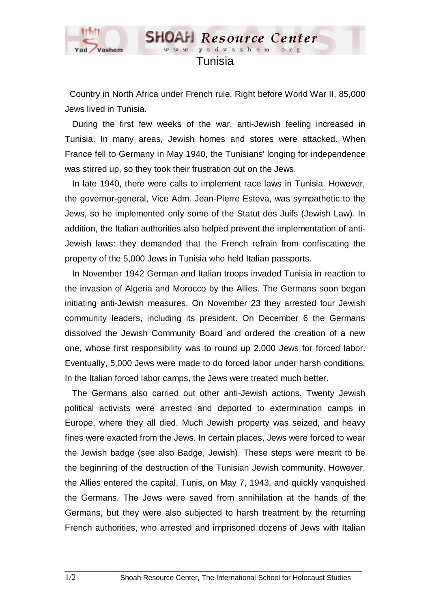

## Tunisia

www.yadvashem.

**SHOAH** Resource Center

 Country in North Africa under French rule. Right before World War II, 85,000 Jews lived in Tunisia.

 During the first few weeks of the war, anti-Jewish feeling increased in Tunisia. In many areas, Jewish homes and stores were attacked. When France fell to Germany in May 1940, the Tunisians' longing for independence was stirred up, so they took their frustration out on the Jews.

 In late 1940, there were calls to implement race laws in Tunisia. However, the governor-general, Vice Adm. Jean-Pierre Esteva, was sympathetic to the Jews, so he implemented only some of the Statut des Juifs (Jewish Law). In addition, the Italian authorities also helped prevent the implementation of anti-Jewish laws: they demanded that the French refrain from confiscating the property of the 5,000 Jews in Tunisia who held Italian passports.

 In November 1942 German and Italian troops invaded Tunisia in reaction to the invasion of Algeria and Morocco by the Allies. The Germans soon began initiating anti-Jewish measures. On November 23 they arrested four Jewish community leaders, including its president. On December 6 the Germans dissolved the Jewish Community Board and ordered the creation of a new one, whose first responsibility was to round up 2,000 Jews for forced labor. Eventually, 5,000 Jews were made to do forced labor under harsh conditions. In the Italian forced labor camps, the Jews were treated much better.

 The Germans also carried out other anti-Jewish actions. Twenty Jewish political activists were arrested and deported to extermination camps in Europe, where they all died. Much Jewish property was seized, and heavy fines were exacted from the Jews. In certain places, Jews were forced to wear the Jewish badge (see also Badge, Jewish). These steps were meant to be the beginning of the destruction of the Tunisian Jewish community. However, the Allies entered the capital, Tunis, on May 7, 1943, and quickly vanquished the Germans. The Jews were saved from annihilation at the hands of the Germans, but they were also subjected to harsh treatment by the returning French authorities, who arrested and imprisoned dozens of Jews with Italian

 $\Box$  . The contribution of the contribution of the contribution of the contribution of the contribution of the contribution of the contribution of the contribution of the contribution of the contribution of the contributi